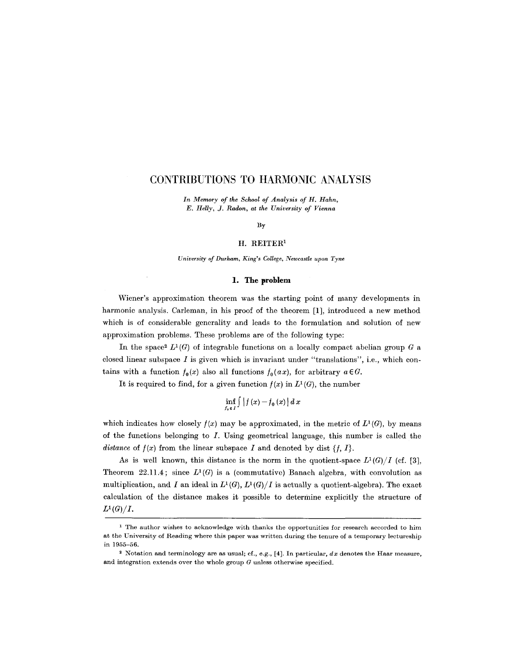# **CONTRIBUTIONS TO HARMONIC ANALYSIS**

*In Memory of the School of Analysis of H. Hahn, E. Helly, J. Radon, at the University of Vienna* 

By

#### H. REITER<sup>1</sup>

*University of Durham, King's College, Newcastle upon Tyne* 

### **1. The problem**

Wiener's approximation theorem was the starting point of many developments in harmonic analysis. Carleman, in his proof of the theorem [1], introduced a new method which is of considerable generality and leads to the formulation and solution of new approximation problems. These problems are of the following type:

In the space  $L^1(G)$  of integrable functions on a locally compact abelian group G a closed linear subspace  $I$  is given which is invariant under "translations", i.e., which contains with a function  $f_0(x)$  also all functions  $f_0(ax)$ , for arbitrary  $a \in G$ .

It is required to find, for a given function  $f(x)$  in  $L<sup>1</sup>(G)$ , the number

$$
\inf_{f_0\in I}\int\big|f\left(x\right)-f_0\left(x\right)\big|\,dx
$$

which indicates how closely  $f(x)$  may be approximated, in the metric of  $L^1(G)$ , by means of the functions belonging to  $I$ . Using geometrical language, this number is called the *distance* of  $f(x)$  from the linear subspace I and denoted by dist  $\{f, I\}$ .

As is well known, this distance is the norm in the quotient-space  $L^1(G)/I$  (cf. [3], Theorem 22.11.4; since  $L^1(G)$  is a (commutative) Banach algebra, with convolution as multiplication, and I an ideal in  $L^1(G)$ ,  $L^1(G)/I$  is actually a quotient-algebra). The exact calculation of the distance makes it possible to determine explicitly the structure of  $L^1(G)/I$ .

<sup>&</sup>lt;sup>1</sup> The author wishes to acknowledge with thanks the opportunities for research accorded to him at the University of Reading where this paper was written during the tenure of a temporary lectureship in 1955-56.

<sup>&</sup>lt;sup>2</sup> Notation and terminology are as usual; cf., e.g., [4]. In particular, dx denotes the Haar measure, and integration extends over the whole group  $G$  unless otherwise specified.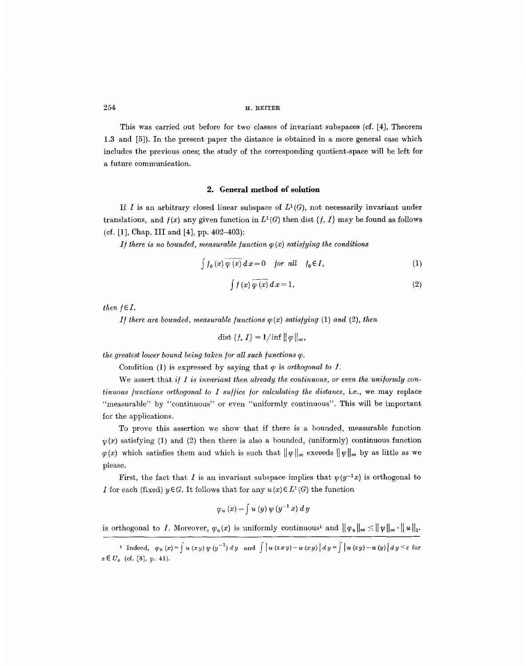This was carried out before for two classes of invariant subspaces (cf. [4], Theorem 1.3 and [5]). In the present paper the distance is obtained in a more general case which includes the previous ones; the study of the corresponding quotient-space will be left for a future communication.

#### **2. General method of solution**

If I is an arbitrary closed linear subspace of  $L^1(G)$ , not necessarily invariant under translations, and  $f(x)$  any given function in  $L^1(G)$  then dist  $\{f, I\}$  may be found as follows (cf. [1], Chap. III and [4], pp. 402-403):

*1f there is no bounded, measurable function*  $\varphi(x)$  *satisfying the conditions* 

$$
\int f_0(x) \varphi(x) dx = 0 \quad \text{for all} \quad f_0 \in I,
$$
 (1)

$$
\int f(x)\,\overline{\varphi(x)}\,dx = 1,\tag{2}
$$

*then*  $f \in I$ .

*If there are bounded, measurable functions*  $\varphi(x)$  *satisfying (1) and (2), then* 

$$
\text{dist}\left\{f,\,I\right\} = 1/\inf \|\varphi\|_{\infty},
$$

*the greatest lower bound being taken for all such functions*  $\varphi$ *.* 

Condition (1) is expressed by saying that  $\varphi$  is *orthogonal to I*.

We assert that *if* I is invariant then already the continuous, or even the uniformly con*tinuous functions orthogonal to I suffice for calculating the distance, i.e., we may replace* "measurable" by "continuous" or even "uniformly continuous". This will be important for the applications.

To prove this assertion we show that if there is a bounded, measurable function  $\nu(x)$  satisfying (1) and (2) then there is also a bounded, (uniformly) continuous function  $\varphi(x)$  which satisfies them and which is such that  $\|\varphi\|_{\infty}$  exceeds  $\|\psi\|_{\infty}$  by as little as we please.

First, the fact that I is an invariant subspace implies that  $\psi(y^{-1}x)$  is orthogonal to I for each (fixed)  $y \in G$ . It follows that for any  $u(x) \in L^1(G)$  the function

$$
\varphi_u\left(x\right)=\int u\left(y\right)\psi\left(y^{-1}\,x\right)\,dy
$$

is orthogonal to I. Moreover,  $\varphi_u(x)$  is uniformly continuous<sup>1</sup> and  $\|\varphi_u\|_{\infty} \leq \|\psi\|_{\infty} \cdot \|u\|_{\infty}$ .

Indeed,  $\varphi_u(x) = \int u(xy) \psi(y^{-1}) dy$  and  $\int |u(zxy)-u(xy)| dy = \int |u(zy)-u(y)| dy \leq \varepsilon$  for  $z \in U_{\epsilon}$  (cf. [8], p. 41).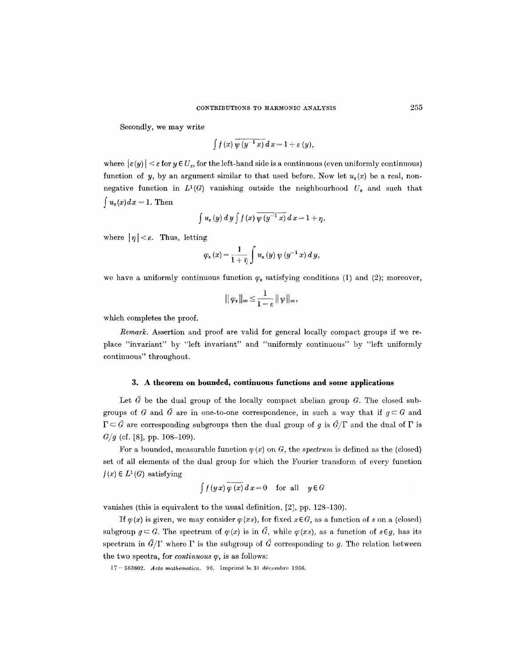Secondly, we may write

$$
\int f(x)\,\overline{\psi\left(y^{-1}\,x\right)}\,d\,x=1+\varepsilon\left(y\right),
$$

where  $|\varepsilon(y)| < \varepsilon$  for  $y \in U_{\varepsilon}$ , for the left-hand side is a continuous (even uniformly continuous) function of y, by an argument similar to that used before. Now let  $u_{\epsilon}(x)$  be a real, nonnegative function in  $L^1(G)$  vanishing outside the neighbourhood  $U_e$  and such that  $\int u_{\epsilon}(x)dx=1$ . Then

$$
\int u_{\varepsilon}(y) dy \int f(x) \overline{\psi(y^{-1} x)} dx = 1 + \eta,
$$

where  $|\eta| < \varepsilon$ . Thus, letting

$$
\varphi_{\varepsilon}\left(x\right) = \frac{1}{1+\bar{\eta}}\int u_{\varepsilon}\left(y\right)\psi\left(y^{-1}x\right) d y,
$$

we have a uniformly continuous function  $\varphi_{\varepsilon}$  satisfying conditions (1) and (2); moreover,

$$
\|\varphi_{\varepsilon}\|_{\infty}\leq\frac{1}{1-\varepsilon}\|\psi\|_{\infty},
$$

which completes the proof.

*Remark.* Assertion and proof are valid for general locally compact groups if we replace "invariant" by "left invariant" and "uniformly continuous" by "left uniformly continuous" throughout.

### **3. A theorem on bounded, continuous functions and some applications**

Let  $\hat{G}$  be the dual group of the locally compact abelian group G. The closed subgroups of G and  $\hat{G}$  are in one-to-one correspondence, in such a way that if  $g \subset G$  and  $\Gamma \subset \hat{G}$  are corresponding subgroups then the dual group of g is  $\hat{G}/\Gamma$  and the dual of  $\Gamma$  is *G/g* (cf. [8], pp. 108-109).

For a bounded, measurable function  $\varphi(x)$  on G, the *spectrum* is defined as the (closed) set of all elements of the dual group for which the Fourier transform of every function  $f(x) \in L^1(G)$  satisfying

$$
\int f(yx)\,\overline{\varphi(x)}\,d\,x = 0 \quad \text{for all} \quad y \in G
$$

vanishes (this is equivalent to the usual definition, [2], pp. 128-130).

If  $\varphi(x)$  is given, we may consider  $\varphi(xs)$ , for fixed  $x \in G$ , as a function of s on a (closed) subgroup  $g \subset G$ . The spectrum of  $\varphi(x)$  is in  $\hat{G}$ , while  $\varphi(xs)$ , as a function of  $s \in g$ , has its spectrum in  $\hat{G}/\Gamma$  where  $\Gamma$  is the subgroup of  $\hat{G}$  corresponding to g. The relation between the two spectra, for *continuous*  $\varphi$ , is as follows:

17-563802. *Acta mathematica*. 96. Imprimé le 31 décembre 1956.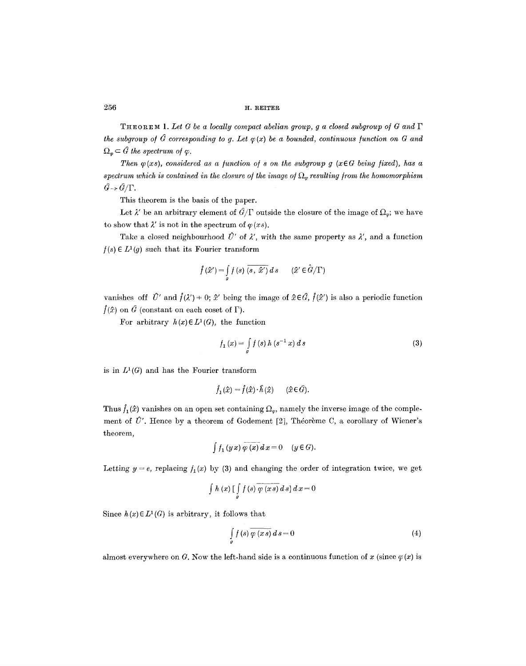*T H E o R ~ M 1. Let G be a locally compact abelian group, g a closed subgroup o/G and I' the subgroup of*  $\hat{G}$  *corresponding to g. Let*  $\varphi(x)$  *be a bounded, continuous function on G and*  $\Omega_{\varphi} \subset \hat{G}$  the spectrum of  $\varphi$ .

*Then*  $\varphi(xs)$ *, considered as a function of s on the subgroup g (xEG being fixed), has a* spectrum which is contained in the closure of the image of  $\Omega_m$  resulting from the homomorphism  $\hat{G} \rightarrow \hat{G}/\Gamma$ .

This theorem is the basis of the paper.

Let  $\lambda'$  be an arbitrary element of  $\hat{G}/\Gamma$  outside the closure of the image of  $\Omega_{\varphi}$ ; we have to show that  $\lambda'$  is not in the spectrum of  $\varphi$  *(xs).* 

Take a closed neighbourhood  $\hat{U}'$  of  $\lambda'$ , with the same property as  $\lambda'$ , and a function  $f(s) \in L^1(g)$  such that its Fourier transform

$$
\hat{f}(\hat{x}') = \int\limits_{g} f(s) \, \overline{(s, \hat{x}')} \, ds \qquad (\hat{x}' \in \hat{G}/\Gamma)
$$

vanishes off  $\hat{U}'$  and  $\hat{f}(\lambda') = 0$ ;  $\hat{x}'$  being the image of  $\hat{x} \in \hat{G}$ ,  $\hat{f}(\hat{x}')$  is also a periodic function  $f(\hat{x})$  on  $\hat{G}$  (constant on each coset of  $\Gamma$ ).

For arbitrary  $h(x) \in L^1(G)$ , the function

$$
f_1(x) = \int_{g} f(s) h(s^{-1} x) ds
$$
 (3)

is in  $L^1(G)$  and has the Fourier transform

$$
\hat{f}_1(\hat{x}) = \hat{f}(\hat{x}) \cdot \hat{h}(\hat{x}) \qquad (\hat{x} \in \hat{G}).
$$

Thus  $\hat{f}_1(\hat{x})$  vanishes on an open set containing  $\Omega_{\varphi}$ , namely the inverse image of the complement of  $\hat{U}'$ . Hence by a theorem of Godement [2], Théorème C, a corollary of Wiener's theorem,

$$
\int f_1(yx) \overline{\varphi(x)} dx = 0 \quad (y \in G).
$$

Letting  $y = e$ , replacing  $f_1(x)$  by (3) and changing the order of integration twice, we get

$$
\int h(x) \left[ \int\limits_g f(s) \overline{\varphi(x s)} ds \right] dx = 0
$$

Since  $h(x) \in L^1(G)$  is arbitrary, it follows that

$$
\int_{a} f(s) \overline{\varphi(x s)} ds = 0 \tag{4}
$$

almost everywhere on G. Now the left-hand side is a continuous function of x (since  $\varphi(x)$  is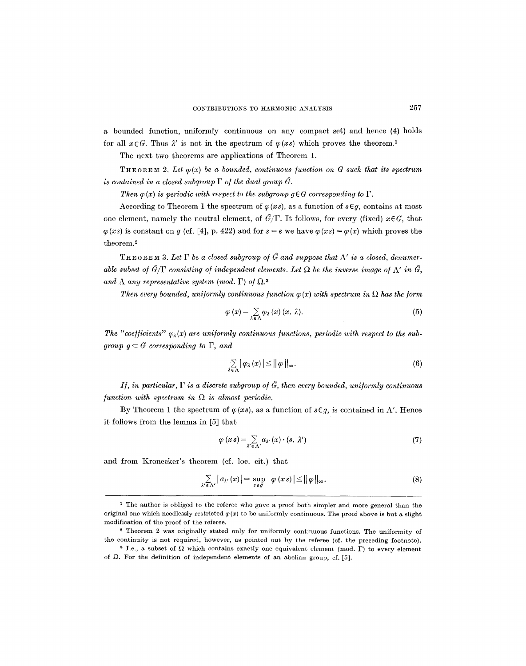a bounded function, uniformly continuous on any compact set) and hence (4) holds for all  $x \in G$ . Thus  $\lambda'$  is not in the spectrum of  $\varphi(xs)$  which proves the theorem.<sup>1</sup>

The next two theorems are applications of Theorem 1.

**THEOREM** 2. Let  $\varphi(x)$  be a bounded, continuous function on G such that its spectrum *is contained in a closed subgroup*  $\Gamma$  *of the dual group*  $\hat{G}$ *.* 

*Then*  $\varphi(x)$  *is periodic with respect to the subgroup g*  $\in G$  *corresponding to*  $\Gamma$ .

According to Theorem 1 the spectrum of  $\varphi (xs)$ , as a function of  $s \in g$ , contains at most one element, namely the neutral element, of  $\hat{G}/\Gamma$ . It follows, for every (fixed)  $x \in G$ , that  $\varphi(xs)$  is constant on g (cf. [4], p. 422) and for  $s = e$  we have  $\varphi(xs) = \varphi(x)$  which proves the theorem.<sup>2</sup>

THEOREM 3. Let  $\Gamma$  be a closed subgroup of  $\hat{G}$  and suppose that  $\Lambda'$  is a closed, denumer*able subset of*  $\hat{G}/\Gamma$  *consisting of independent elements. Let*  $\Omega$  be the inverse image of  $\Lambda'$  in  $\hat{G}$ , and  $\Lambda$  any representative system (mod.  $\Gamma$ ) of  $\Omega$ <sup>3</sup>

*Then every bounded, uniformly continuous function*  $\varphi(x)$  *with spectrum in*  $\Omega$  *has the form* 

$$
\varphi(x) = \sum_{\lambda \in \Lambda} \varphi_{\lambda}(x) \ (x, \ \lambda).
$$
 (5)

The "coefficients"  $\varphi_{\lambda}(x)$  are uniformly continuous functions, periodic with respect to the sub*group*  $g \subset G$  *corresponding to*  $\Gamma$ *, and* 

$$
\sum_{\lambda \in \Lambda} |\varphi_{\lambda}(x)| \le ||\varphi||_{\infty}.
$$
 (6)

 $I$ *i*, in particular,  $\Gamma$  is a discrete subgroup of  $\hat{G}$ , then every bounded, uniformly continuous *function with spectrum in*  $\Omega$  *is almost periodic.* 

By Theorem 1 the spectrum of  $\varphi (xs)$ , as a function of  $s \in g$ , is contained in  $\Lambda'$ . Hence it follows from the lemma in [5] that

$$
\varphi(x s) = \sum_{\lambda' \in \Lambda'} a_{\lambda'}(x) \cdot (s, \lambda')
$$
\n(7)

and from Kronecker's theorem (cf. loc. cit.) that

$$
\sum_{\alpha \in \Lambda'} |a_{\alpha'}(x)| = \sup_{s \in \mathcal{G}} |\varphi(xs)| \le ||\varphi||_{\infty}.
$$
 (8)

<sup>&</sup>lt;sup>1</sup> The author is obliged to the referee who gave a proof both simpler and more general than the original one which needlessly restricted  $\varphi(x)$  to be uniformly continuous. The proof above is but a slight modification of the proof of the referee.

<sup>2</sup> Theorem 2 was originally stated only for uniformly continuous functions. The uniformity of the continuity is not required, however, as pointed out by the referee (cf. the preceding footnote).

<sup>&</sup>lt;sup>3</sup> I.e., a subset of  $\Omega$  which contains exactly one equivalent element (mod.  $\Gamma$ ) to every element of  $\Omega$ . For the definition of independent elements of an abelian group, cf. [5].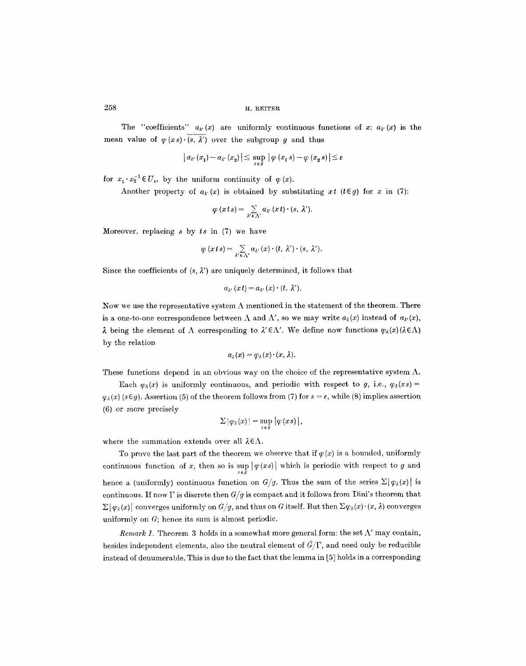The "coefficients"  $a_{\lambda}(x)$  are uniformly continuous functions of x:  $a_{\lambda}(x)$  is the mean value of  $\varphi(x_s)$ .  $(s, \lambda')$  over the subgroup g and thus

$$
\left| a_{\lambda'}(x_1) - a_{\lambda'}(x_2) \right| \leq \sup_{s \in \mathcal{G}} \left| \varphi(x_1 \, s) - \varphi(x_2 \, s) \right| \leq \varepsilon
$$

for  $x_1 \cdot x_2^{-1} \in U_\varepsilon$ , by the uniform continuity of  $\varphi(x)$ .

Another property of  $a_{\lambda}(x)$  is obtained by substituting  $xt$  ( $t \in g$ ) for x in (7):

$$
\varphi(xts) = \sum_{\lambda' \in \Lambda'} a_{\lambda'}(xt) \cdot (s, \lambda').
$$

:Moreover, replacing s by *ts* in (7) we have

$$
\varphi(xts) = \sum_{\lambda' \in \Lambda'} a_{\lambda'}(x) \cdot (t, \lambda') \cdot (s, \lambda').
$$

Since the coefficients of  $(s, \lambda')$  are uniquely determined, it follows that

$$
a_{\lambda'}(x t) = a_{\lambda'}(x) \cdot (t, \lambda').
$$

Now we use the representative system  $\Lambda$  mentioned in the statement of the theorem. There is a one-to-one correspondence between  $\Lambda$  and  $\Lambda'$ , so we may write  $a_{\lambda}(x)$  instead of  $a_{\lambda'}(x)$ ,  $\lambda$  being the element of  $\Lambda$  corresponding to  $\lambda' \in \Lambda'$ . We define now functions  $\varphi_{\lambda}(x)(\lambda \in \Lambda)$ by the relation

$$
a_{\lambda}(x)=\varphi_{\lambda}(x)\cdot(x,\lambda).
$$

These functions depend in an obvious way on the choice of the representative system  $\Lambda$ .

Each  $\varphi_{\lambda}(x)$  is uniformly continuous, and periodic with respect to g, i.e.,  $\varphi_{\lambda}(x)$  $\varphi_i(x)$  (s  $\in$  g). Assertion (5) of the theorem follows from (7) for  $s = e$ , while (8) implies assertion (6) or more precisely

$$
\Sigma |\varphi_\lambda(x)| = \sup_{s \in g} |\varphi(xs)|,
$$

where the summation extends over all  $\lambda \in \Lambda$ .

To prove the last part of the theorem we observe that if  $\varphi(x)$  is a bounded, uniformly continuous function of x, then so is  $\sup_{s \in \mathcal{G}} |\varphi(xs)|$  which is periodic with respect to g and hence a (uniformly) continuous function on  $G/g$ . Thus the sum of the series  $\Sigma |\varphi_{\lambda}(x)|$  is continuous. If now  $\Gamma$  is discrete then  $G/g$  is compact and it follows from Dini's theorem that  $\Sigma |\varphi_\lambda(x)|$  converges uniformly on  $G/g$ , and thus on G itself. But then  $\Sigma \varphi_\lambda(x) \cdot (x, \lambda)$  converges uniformly on  $G$ ; hence its sum is almost periodic.

*Remark 1.* Theorem 3 holds in a somewhat more general form: the set  $\Lambda'$  may contain, besides independent elements, also the neutral element of  $\hat{G}/\Gamma$ , and need only be reducible instead of denumerable. This is due to the fact that the lemma in [5] holds in a corresponding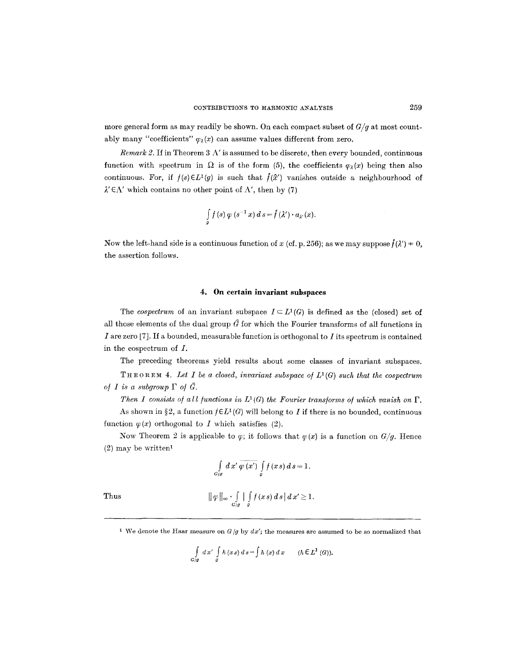more general form as may readily be shown. On each compact subset of *Gig* at most countably many "coefficients"  $\varphi_\lambda(x)$  can assume values different from zero.

*Remark 2.* If in Theorem 3  $\Lambda'$  is assumed to be discrete, then every bounded, continuous function with spectrum in  $\Omega$  is of the form (5), the coefficients  $\varphi_{\lambda}(x)$  being then also continuous. For, if  $f(s) \in L^1(g)$  is such that  $\hat{f}(\hat{x}')$  vanishes outside a neighbourhood of  $\lambda' \in \Lambda'$  which contains no other point of  $\Lambda'$ , then by (7)

$$
\int\limits_{g} f(s) \varphi (s^{-1} x) \, ds = \hat{f}(\lambda') \cdot a_{\lambda'}(x).
$$

Now the left-hand side is a continuous function of x (cf. p. 256); as we may suppose  $\hat{f}(\lambda') = 0$ , the assertion folIows.

#### **4. On certain invariant subspaces**

The *cospectrum* of an invariant subspace  $I \subseteq L^1(G)$  is defined as the (closed) set of all those elements of the dual group  $\hat{G}$  for which the Fourier transforms of all functions in I are zero [7]. If a bounded, measurable function is orthogonal to I its spectrum is contained in the cospectrum of I.

The preceding theorems yield results about some classes of invariant subspaces.

THEOREM 4. Let I be a closed, invariant subspace of  $L^1(G)$  such that the cospectrum *of I is a subgroup*  $\Gamma$  *of*  $\hat{G}$ *.* 

*Then I consists of all functions in*  $L^1(G)$  *the Fourier transforms of which vanish on*  $\Gamma$ .

As shown in §2, a function  $f \in L^1(G)$  will belong to I if there is no bounded, continuous function  $\varphi(x)$  orthogonal to I which satisfies (2).

Now Theorem 2 is applicable to  $\varphi$ ; it follows that  $\varphi(x)$  is a function on  $G/g$ . Hence  $(2)$  may be written<sup>1</sup>

Thus  

$$
\int_{G/g} dx' \overline{\varphi(x')} \int_{g} f(x s) ds = 1.
$$
  

$$
\|\varphi\|_{\infty} \cdot \int_{G/g} |\int_{g} f(x s) ds| dx' \ge 1.
$$

<sup>1</sup> We denote the Haar measure on  $G/g$  by  $dx'$ ; the measures are assumed to be so normalized that

$$
\int\limits_{G/g} dx' \int\limits_g h(x s) ds = \int h(x) dx \qquad (h \in L^1(G)).
$$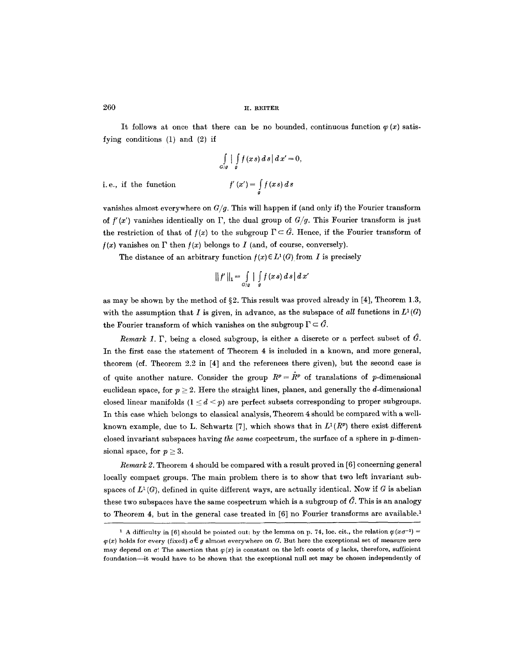It follows at once that there can be no bounded, continuous function  $\varphi(x)$  satisfying conditions (1) and (2) if

$$
\int_{G/g} \int_{g} f(xs) ds |dx' = 0,
$$

$$
f'(x') = \int_{g} f(xs) ds
$$

i.e., if the function

vanishes almost everywhere on *Gig.* This will happen if (and only if) the Fourier transform of  $f'(x')$  vanishes identically on  $\Gamma$ , the dual group of  $G/g$ . This Fourier transform is just the restriction of that of  $f(x)$  to the subgroup  $\Gamma \subset \hat{G}$ . Hence, if the Fourier transform of  $f(x)$  vanishes on  $\Gamma$  then  $f(x)$  belongs to I (and, of course, conversely).

The distance of an arbitrary function  $f(x) \in L^1(G)$  from I is precisely

$$
|| f ||_1 = \int_{G/g} | \int_g f(x s) ds | dx'
$$

as may be shown by the method of §2. This result was proved already in [4], Theorem 1.3, with the assumption that I is given, in advance, as the subspace of all functions in  $L^1(G)$ the Fourier transform of which vanishes on the subgroup  $\Gamma \subset \hat{G}$ .

*Remark 1.*  $\Gamma$ , being a closed subgroup, is either a discrete or a perfect subset of  $\hat{G}$ . In the first case the statement of Theorem 4 is included in a known, and more general, theorem (cf. Theorem 2.2 in [4] and the references there given), but the second case is of quite another nature. Consider the group  $R^p = \hat{R}^p$  of translations of p-dimensional euclidean space, for  $p \geq 2$ . Here the straight lines, planes, and generally the d-dimensional closed linear manifolds  $(1 \leq d \leq p)$  are perfect subsets corresponding to proper subgroups. In this case which belongs to classical analysis, Theorem 4 should be compared with a wellknown example, due to L. Schwartz [7], which shows that in  $L^1(R^p)$  there exist different closed invariant subspaces having *the same* cospectrum, the surface of a sphere in p-dimensional space, for  $p \geq 3$ .

*Remark 2.* Theorem 4 should be compared with a result proved in [6] concerning general locally compact groups. The main problem there is to show that two left invariant subspaces of  $L^1(G)$ , defined in quite different ways, are actually identical. Now if G is abelian these two subspaces have the same cospectrum which is a subgroup of  $\hat{G}$ . This is an analogy to Theorem 4, but in the general case treated in [6] no Fourier transforms are available.<sup>1</sup>

<sup>&</sup>lt;sup>1</sup> A difficulty in [6] should be pointed out: by the lemma on p. 74, loc. cit., the relation  $\varphi(x\sigma^{-1})$  =  $\varphi(x)$  holds for every (fixed)  $\sigma \in g$  almost everywhere on G. But here the exceptional set of measure zero may depend on  $\sigma$ ! The assertion that  $\varphi(x)$  is constant on the left cosets of g lacks, therefore, sufficient foundation--it would have to be shown that the exceptional null set may be chosen independently of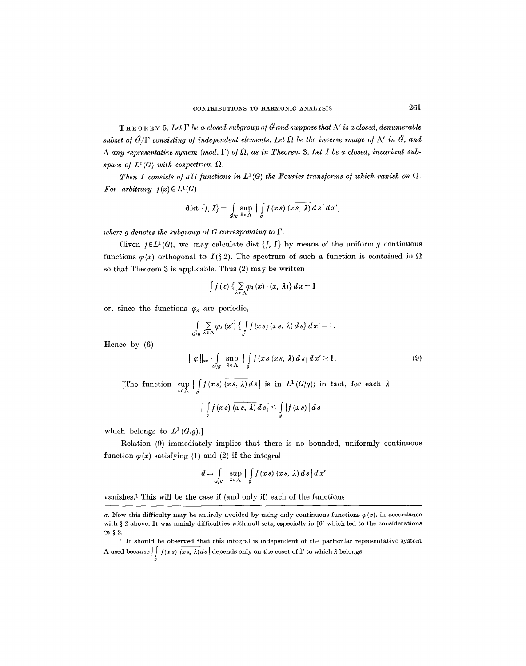**THEOREM 5.** Let  $\Gamma$  be a closed subgroup of  $\hat{G}$  and suppose that  $\Lambda'$  is a closed, denumerable *subset of*  $\hat{G}/\Gamma$  *consisting of independent elements. Let*  $\Omega$  be the inverse image of  $\Lambda'$  in  $\hat{G}$ , and  $\Lambda$  any representative system (mod.  $\Gamma$ ) of  $\Omega$ , as in Theorem 3. Let I be a closed, invariant sub*space of*  $L^1(G)$  *with cospectrum*  $\Omega$ .

*Then I consists of all functions in*  $L^1(G)$  the Fourier transforms of which vanish on  $\Omega$ . For arbitrary  $f(x) \in L^1(G)$ 

$$
\text{dist }\{f,\,I\}=\int\limits_{G/g}\sup\limits_{\lambda\,\in\,\Lambda}\big|\int\limits_{g}f\,(x\,s)\,\overline{(x\,s,\,\lambda)}\,d\,s\,\big|\,d\,x',
$$

*where g denotes the subgroup of G corresponding to*  $\Gamma$ .

Given  $f \in L^1(G)$ , we may calculate dist  $\{f, I\}$  by means of the uniformly continuous functions  $\varphi(x)$  orthogonal to  $I(\S 2)$ . The spectrum of such a function is contained in  $\Omega$ so that Theorem 3 is applicable. Thus (2) may be written

$$
\int f(x) \, \overline{\left\{ \sum_{\lambda \in \Lambda} \varphi_{\lambda} (x) \cdot (x, \, \lambda) \right\}} \, dx = 1
$$

or, since the functions  $\varphi_{\lambda}$  are periodic,

$$
\int_{G/g} \sum_{\lambda \in \Lambda} \overline{\varphi_{\lambda}(x')} \left\{ \int_{g} f(xs) \overline{(xs, \lambda)} ds \right\} dx' = 1.
$$
\n
$$
\|\varphi\|_{\infty} \cdot \int_{G/g} \sup_{\lambda \in \Lambda} \left| \int_{g} f(xs \overline{(xs, \lambda)} ds \right| dx' \ge 1.
$$
\n(9)

Hence by (6)

[The function  $\sup_{\lambda \in \Lambda} |\int_{g} f(x s) (x s, \lambda) ds|$  is in  $L^{1}(G/g)$ ; in fact, for each

$$
\big|\int\limits_g f(x\,s)\,\overline{(x\,s,\,\lambda)}\,d\,s\big|\leq \int\limits_g \big|f(x\,s)\,\big|\,d\,s
$$

which belongs to  $L^1(G/q)$ .]

Relation (9) immediately implies that there is no bounded, uniformly continuous function  $\varphi(x)$  satisfying (1) and (2) if the integral

$$
d \equiv \int\limits_{G/g} \sup\limits_{\lambda \in \Lambda} \left| \int\limits_{g} f(x s) \overline{(x s, \lambda)} ds \right| dx'
$$

vanishes.<sup>1</sup> This will be the case if (and only if) each of the functions

 $\sigma$ . Now this difficulty may be entirely avoided by using only continuous functions  $\varphi(x)$ , in accordance with  $\S$  2 above. It was mainly difficulties with null sets, especially in [6] which led to the considerations in  $\S 2$ .

<sup>1</sup> It should be observed that this integral is independent of the particular representative system  $\Lambda$  used because  $|| f(x s) (x s, \lambda) ds|$  depends only on the coset of  $\Gamma$  to which  $\lambda$  belongs. g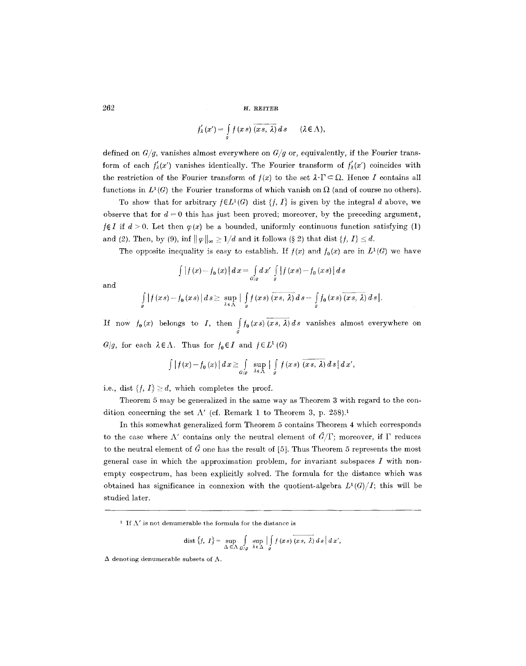$$
f'_{\lambda}(x') = \int\limits_{g} f(x s) \overline{(x s, \lambda)} ds \qquad (\lambda \in \Lambda),
$$

defined on  $G/g$ , vanishes almost everywhere on  $G/g$  or, equivalently, if the Fourier transform of each  $f'_{\lambda}(x')$  vanishes identically. The Fourier transform of  $f'_{\lambda}(x')$  coincides with the restriction of the Fourier transform of  $f(x)$  to the set  $\lambda \cdot \Gamma \subseteq \Omega$ . Hence I contains all functions in  $L^1(G)$  the Fourier transforms of which vanish on  $\Omega$  (and of course no others).

To show that for arbitrary  $f \in L^1(G)$  dist  $\{f, I\}$  is given by the integral d above, we observe that for  $d = 0$  this has just been proved; moreover, by the preceding argument,  $f \notin I$  if  $d > 0$ . Let then  $\varphi(x)$  be a bounded, uniformly continuous function satisfying (1) and (2). Then, by (9), inf  $\|\varphi\|_{\infty} \geq 1/d$  and it follows (§ 2) that dist  $\{f, I\} \leq d$ .

The opposite inequality is easy to establish. If  $f(x)$  and  $f_0(x)$  are in  $L^1(G)$  we have

$$
\int |f(x)-f_0(x)| dx = \int_{G/g} dx' \int_{g} |f(xs)-f_0(xs)| ds
$$

and

$$
\int_{g} |f(xs)-f_0(xs)| ds \geq \sup_{\lambda \in \Lambda} |\int_{g} f(xs) \overline{(xs,\lambda)} ds - \int_{g} f_0(xs) \overline{(xs,\lambda)} ds|.
$$

If now  $f_0(x)$  belongs to I, then  $\int_a f_0(x s) (x s, \lambda) ds$  vanishes almost everywhere on

*G/g,* for each  $\lambda \in \Lambda$ . Thus for  $f_0 \in I$  and  $f \in L^1(G)$ 

$$
\int |f(x)-f_0(x)| dx \geq \int_{G/g} \sup_{\lambda \in \Lambda} |\int_g f(xs) \overline{(xs,\lambda)} ds| dx',
$$

i.e., dist  $\{f, I\} \geq d$ , which completes the proof.

Theorem 5 may be generalized in the same way as Theorem 3 with regard to the condition concerning the set  $\Lambda'$  (cf. Remark 1 to Theorem 3, p. 258).<sup>1</sup>

In this somewhat generalized form Theorem 5 contains Theorem 4 which corresponds to the case where  $\Lambda'$  contains only the neutral element of  $\hat{G}/\Gamma$ ; moreover, if  $\Gamma$  reduces to the neutral element of  $\hat{G}$  one has the result of [5]. Thus Theorem 5 represents the most general case in which the approximation problem, for invariant subspaces  $I$  with nonempty eospeetrum, has been explicitly solved. The formula for the distance which was obtained has significance in connexion with the quotient-algebra  $L^1(G)/I$ ; this will be studied later.

<sup>1</sup> If  $\Lambda'$  is not denumerable the formula for the distance is

$$
\text{dist }\big\{f,\;I\big\} = \sup_{\Delta \subset \Delta} \int_{G/g} \sup_{\lambda \in \Delta} \Big| \int_{g} f(x\,s) \overline{(x\,s,\; \lambda)} \, ds \, \Big| \, dx',
$$

 $\Delta$  denoting denumerable subsets of  $\Lambda$ .